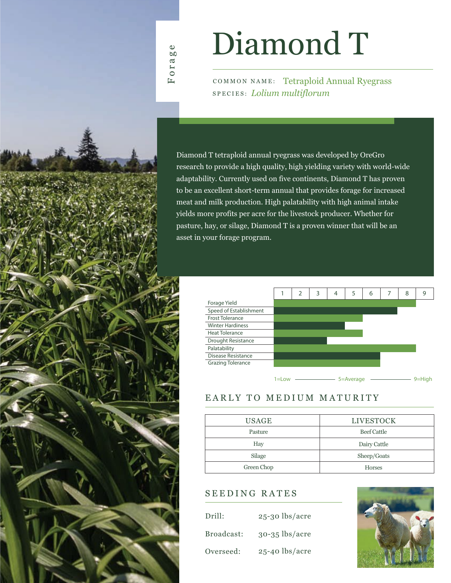# Diamond T

COMMON NAME: Tetraploid Annual Ryegrass SPECIES: *Lolium multiflorum*

Diamond T tetraploid annual ryegrass was developed by OreGro research to provide a high quality, high yielding variety with world-wide adaptability. Currently used on five continents, Diamond T has proven to be an excellent short-term annual that provides forage for increased meat and milk production. High palatability with high animal intake yields more profits per acre for the livestock producer. Whether for pasture, hay, or silage, Diamond T is a proven winner that will be an asset in your forage program.

|                         |       | $\overline{2}$ | 3 | 4 | 5         | 6 | 8 | 9          |
|-------------------------|-------|----------------|---|---|-----------|---|---|------------|
| Forage Yield            |       |                |   |   |           |   |   |            |
| Speed of Establishment  |       |                |   |   |           |   |   |            |
| <b>Frost Tolerance</b>  |       |                |   |   |           |   |   |            |
| <b>Winter Hardiness</b> |       |                |   |   |           |   |   |            |
| <b>Heat Tolerance</b>   |       |                |   |   |           |   |   |            |
| Drought Resistance      |       |                |   |   |           |   |   |            |
| Palatability            |       |                |   |   |           |   |   |            |
| Disease Resistance      |       |                |   |   |           |   |   |            |
| Grazing Tolerance       |       |                |   |   |           |   |   |            |
|                         |       |                |   |   |           |   |   |            |
|                         | 1=Low |                |   |   | 5=Average |   |   | $9 =$ Hiah |

## EARLY TO MEDIUM MATURITY

| <b>USAGE</b> | <b>LIVESTOCK</b>   |  |  |  |
|--------------|--------------------|--|--|--|
| Pasture      | <b>Beef Cattle</b> |  |  |  |
| Hay          | Dairy Cattle       |  |  |  |
| Silage       | Sheep/Goats        |  |  |  |
| Green Chop   | <b>Horses</b>      |  |  |  |

### SEEDING RATES

| Drill:     | $25-30$ lbs/acre |
|------------|------------------|
| Broadcast: | $30-35$ lbs/acre |
| Overseed:  | $25-40$ lbs/acre |